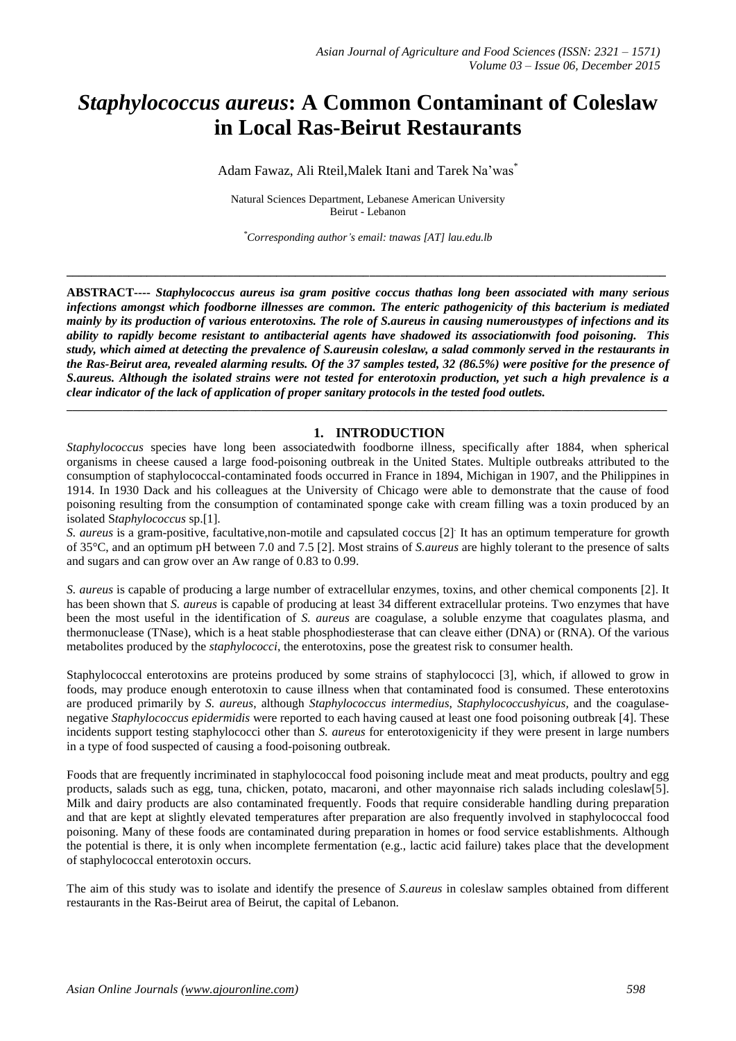# *Staphylococcus aureus***: A Common Contaminant of Coleslaw in Local Ras-Beirut Restaurants**

Adam Fawaz, Ali Rteil, Malek Itani and Tarek Na'was<sup>\*</sup>

Natural Sciences Department, Lebanese American University Beirut - Lebanon

*\*Corresponding author's email: tnawas [AT] lau.edu.lb*

**\_\_\_\_\_\_\_\_\_\_\_\_\_\_\_\_\_\_\_\_\_\_\_\_\_\_\_\_\_\_\_\_\_\_\_\_\_\_\_\_\_\_\_\_\_\_\_\_\_\_\_\_\_\_\_\_\_\_\_\_\_\_\_\_\_\_\_\_\_\_\_\_\_\_\_\_\_\_\_\_\_\_\_\_\_\_\_\_\_\_\_\_\_\_\_\_\_**

**ABSTRACT----** *Staphylococcus aureus isa gram positive coccus thathas long been associated with many serious infections amongst which foodborne illnesses are common. The enteric pathogenicity of this bacterium is mediated* mainly by its production of various enterotoxins. The role of S.aureus in causing numeroustypes of infections and its *ability to rapidly become resistant to antibacterial agents have shadowed its associationwith food poisoning. This* study, which aimed at detecting the prevalence of S.aureusin coleslaw, a salad commonly served in the restaurants in the Ras-Beirut area, revealed alarming results. Of the 37 samples tested, 32 (86.5%) were positive for the presence of S.aureus. Although the isolated strains were not tested for enterotoxin production, yet such a high prevalence is a *clear indicator of the lack of application of proper sanitary protocols in the tested food outlets.*

**\_\_\_\_\_\_\_\_\_\_\_\_\_\_\_\_\_\_\_\_\_\_\_\_\_\_\_\_\_\_\_\_\_\_\_\_\_\_\_\_\_\_\_\_\_\_\_\_\_\_\_\_\_\_\_\_\_\_\_\_\_\_\_\_\_\_\_\_\_\_\_\_\_\_\_\_\_\_\_\_\_\_\_\_\_\_\_\_\_\_\_\_\_\_\_\_\_\_\_\_\_\_\_\_\_\_\_\_**

## **1. INTRODUCTION**

*Staphylococcus* species have long been associatedwith foodborne illness, specifically after 1884, when spherical organisms in cheese caused a large food-poisoning outbreak in the United States. Multiple outbreaks attributed to the consumption of staphylococcal-contaminated foods occurred in France in 1894, Michigan in 1907, and the Philippines in 1914. In 1930 Dack and his colleagues at the University of Chicago were able to demonstrate that the cause of food poisoning resulting from the consumption of contaminated sponge cake with cream filling was a toxin produced by an isolated S*taphylococcus* sp.[1].

*S. aureus* is a gram-positive, facultative,non-motile and capsulated coccus [2]. It has an optimum temperature for growth of 35°C, and an optimum pH between 7.0 and 7.5 [2]. Most strains of *S.aureus* are highly tolerant to the presence of salts and sugars and can grow over an Aw range of 0.83 to 0.99.

*S. aureus* is capable of producing a large number of extracellular enzymes, toxins, and other chemical components [2]. It has been shown that *S. aureus* is capable of producing at least 34 different extracellular proteins. Two enzymes that have been the most useful in the identification of *S. aureus* are coagulase, a soluble enzyme that coagulates plasma, and thermonuclease (TNase), which is a heat stable phosphodiesterase that can cleave either (DNA) or (RNA). Of the various metabolites produced by the *staphylococci*, the enterotoxins, pose the greatest risk to consumer health.

Staphylococcal enterotoxins are proteins produced by some strains of staphylococci [3], which, if allowed to grow in foods, may produce enough enterotoxin to cause illness when that contaminated food is consumed. These enterotoxins are produced primarily by *S. aureus*, although *Staphylococcus intermedius*, *Staphylococcushyicus,* and the coagulasenegative *Staphylococcus epidermidis* were reported to each having caused at least one food poisoning outbreak [4]. These incidents support testing staphylococci other than *S. aureus* for enterotoxigenicity if they were present in large numbers in a type of food suspected of causing a food-poisoning outbreak.

Foods that are frequently incriminated in staphylococcal food poisoning include meat and meat products, poultry and egg products, salads such as egg, tuna, chicken, potato, macaroni, and other mayonnaise rich salads including coleslaw[5]. Milk and dairy products are also contaminated frequently. Foods that require considerable handling during preparation and that are kept at slightly elevated temperatures after preparation are also frequently involved in staphylococcal food poisoning. Many of these foods are contaminated during preparation in homes or food service establishments. Although the potential is there, it is only when incomplete fermentation (e.g., lactic acid failure) takes place that the development of staphylococcal enterotoxin occurs.

The aim of this study was to isolate and identify the presence of *S.aureus* in coleslaw samples obtained from different restaurants in the Ras-Beirut area of Beirut, the capital of Lebanon.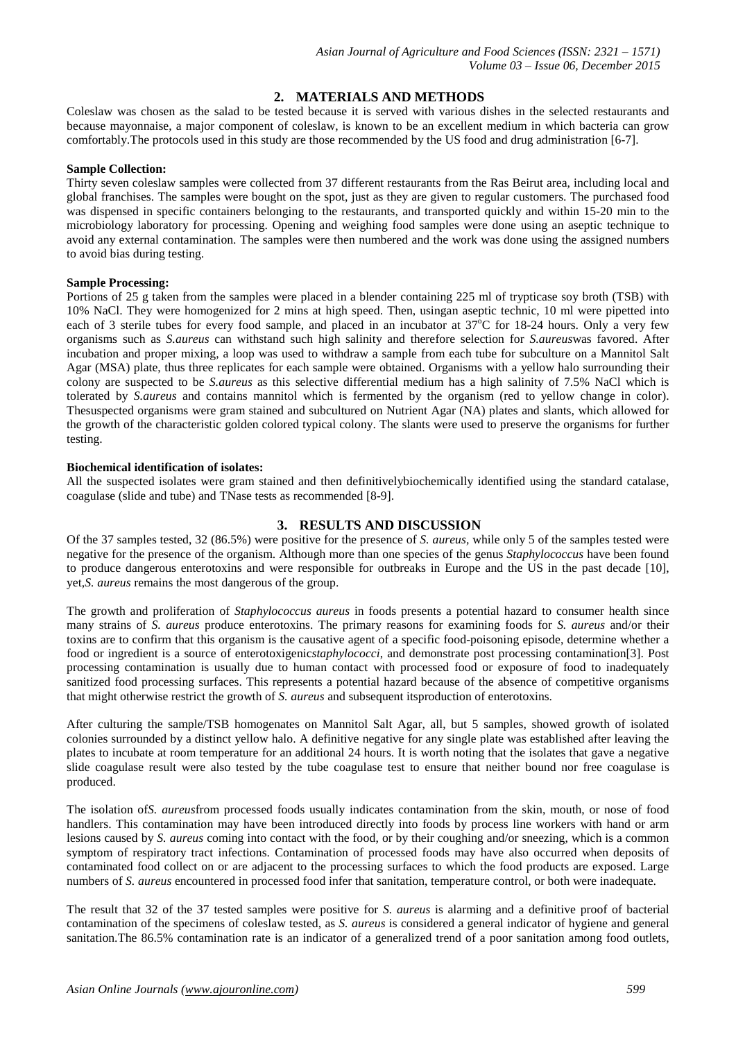## **2. MATERIALS AND METHODS**

Coleslaw was chosen as the salad to be tested because it is served with various dishes in the selected restaurants and because mayonnaise, a major component of coleslaw, is known to be an excellent medium in which bacteria can grow comfortably.The protocols used in this study are those recommended by the US food and drug administration [6-7].

#### **Sample Collection:**

Thirty seven coleslaw samples were collected from 37 different restaurants from the Ras Beirut area, including local and global franchises. The samples were bought on the spot, just as they are given to regular customers. The purchased food was dispensed in specific containers belonging to the restaurants, and transported quickly and within 15-20 min to the microbiology laboratory for processing. Opening and weighing food samples were done using an aseptic technique to avoid any external contamination. The samples were then numbered and the work was done using the assigned numbers to avoid bias during testing.

### **Sample Processing:**

Portions of 25 g taken from the samples were placed in a blender containing 225 ml of trypticase soy broth (TSB) with 10% NaCl. They were homogenized for 2 mins at high speed. Then, usingan aseptic technic, 10 ml were pipetted into each of 3 sterile tubes for every food sample, and placed in an incubator at  $37^{\circ}$ C for 18-24 hours. Only a very few organisms such as *S.aureus* can withstand such high salinity and therefore selection for *S.aureus*was favored. After incubation and proper mixing, a loop was used to withdraw a sample from each tube for subculture on a Mannitol Salt Agar (MSA) plate, thus three replicates for each sample were obtained. Organisms with a yellow halo surrounding their colony are suspected to be *S.aureus* as this selective differential medium has a high salinity of 7.5% NaCl which is tolerated by *S.aureus* and contains mannitol which is fermented by the organism (red to yellow change in color). Thesuspected organisms were gram stained and subcultured on Nutrient Agar (NA) plates and slants, which allowed for the growth of the characteristic golden colored typical colony. The slants were used to preserve the organisms for further testing.

#### **Biochemical identification of isolates:**

All the suspected isolates were gram stained and then definitivelybiochemically identified using the standard catalase, coagulase (slide and tube) and TNase tests as recommended [8-9].

## **3. RESULTS AND DISCUSSION**

Of the 37 samples tested, 32 (86.5%) were positive for the presence of *S. aureus,* while only 5 of the samples tested were negative for the presence of the organism. Although more than one species of the genus *Staphylococcus* have been found to produce dangerous enterotoxins and were responsible for outbreaks in Europe and the US in the past decade [10], yet,*S. aureus* remains the most dangerous of the group.

The growth and proliferation of *Staphylococcus aureus* in foods presents a potential hazard to consumer health since many strains of *S. aureus* produce enterotoxins. The primary reasons for examining foods for *S. aureus* and/or their toxins are to confirm that this organism is the causative agent of a specific food-poisoning episode, determine whether a food or ingredient is a source of enterotoxigenic*staphylococci*, and demonstrate post processing contamination[3]. Post processing contamination is usually due to human contact with processed food or exposure of food to inadequately sanitized food processing surfaces. This represents a potential hazard because of the absence of competitive organisms that might otherwise restrict the growth of *S. aureus* and subsequent itsproduction of enterotoxins.

After culturing the sample/TSB homogenates on Mannitol Salt Agar, all, but 5 samples, showed growth of isolated colonies surrounded by a distinct yellow halo. A definitive negative for any single plate was established after leaving the plates to incubate at room temperature for an additional 24 hours. It is worth noting that the isolates that gave a negative slide coagulase result were also tested by the tube coagulase test to ensure that neither bound nor free coagulase is produced.

The isolation of*S. aureus*from processed foods usually indicates contamination from the skin, mouth, or nose of food handlers. This contamination may have been introduced directly into foods by process line workers with hand or arm lesions caused by *S. aureus* coming into contact with the food, or by their coughing and/or sneezing, which is a common symptom of respiratory tract infections. Contamination of processed foods may have also occurred when deposits of contaminated food collect on or are adjacent to the processing surfaces to which the food products are exposed. Large numbers of *S. aureus* encountered in processed food infer that sanitation, temperature control, or both were inadequate.

The result that 32 of the 37 tested samples were positive for *S. aureus* is alarming and a definitive proof of bacterial contamination of the specimens of coleslaw tested, as *S. aureus* is considered a general indicator of hygiene and general sanitation.The 86.5% contamination rate is an indicator of a generalized trend of a poor sanitation among food outlets,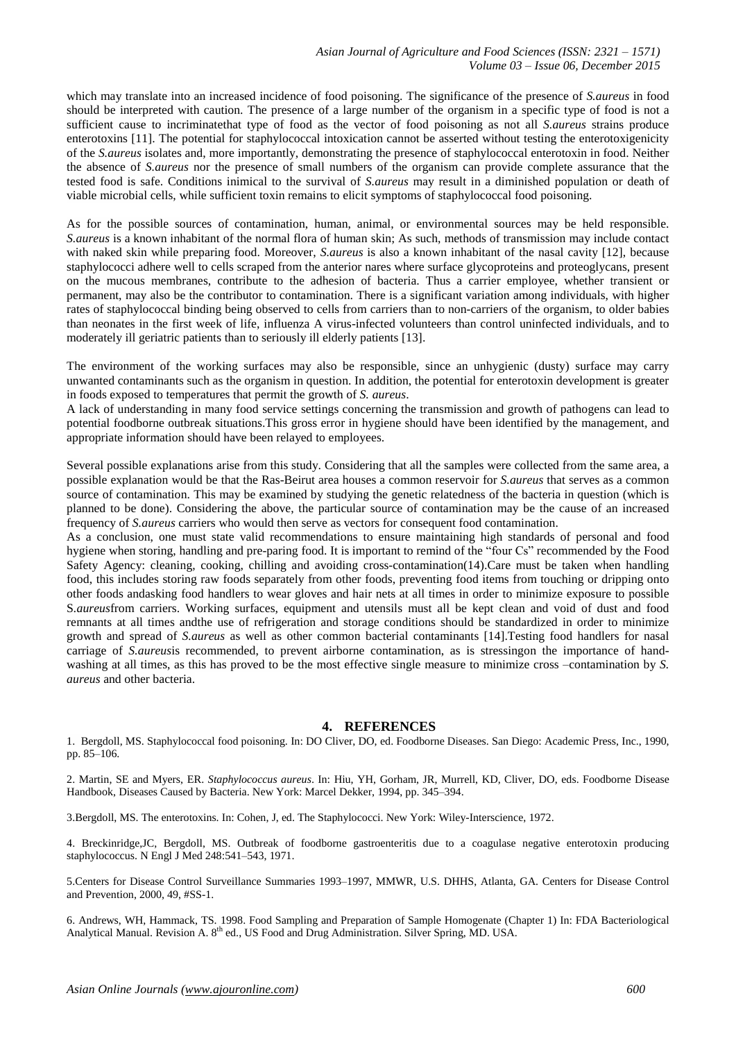which may translate into an increased incidence of food poisoning. The significance of the presence of *S.aureus* in food should be interpreted with caution. The presence of a large number of the organism in a specific type of food is not a sufficient cause to incriminatethat type of food as the vector of food poisoning as not all *S.aureus* strains produce enterotoxins [11]. The potential for staphylococcal intoxication cannot be asserted without testing the enterotoxigenicity of the *S.aureus* isolates and, more importantly, demonstrating the presence of staphylococcal enterotoxin in food. Neither the absence of *S.aureus* nor the presence of small numbers of the organism can provide complete assurance that the tested food is safe. Conditions inimical to the survival of *S.aureus* may result in a diminished population or death of viable microbial cells, while sufficient toxin remains to elicit symptoms of staphylococcal food poisoning.

As for the possible sources of contamination, human, animal, or environmental sources may be held responsible. *S.aureus* is a known inhabitant of the normal flora of human skin; As such, methods of transmission may include contact with naked skin while preparing food. Moreover, *S.aureus* is also a known inhabitant of the nasal cavity [12], because staphylococci adhere well to cells scraped from the anterior nares where surface glycoproteins and proteoglycans, present on the mucous membranes, contribute to the adhesion of bacteria. Thus a carrier employee, whether transient or permanent, may also be the contributor to contamination. There is a significant variation among individuals, with higher rates of staphylococcal binding being observed to cells from carriers than to non-carriers of the organism, to older babies than neonates in the first week of life, influenza A virus-infected volunteers than control uninfected individuals, and to moderately ill geriatric patients than to seriously ill elderly patients [13].

The environment of the working surfaces may also be responsible, since an unhygienic (dusty) surface may carry unwanted contaminants such as the organism in question. In addition, the potential for enterotoxin development is greater in foods exposed to temperatures that permit the growth of *S. aureus*.

A lack of understanding in many food service settings concerning the transmission and growth of pathogens can lead to potential foodborne outbreak situations.This gross error in hygiene should have been identified by the management, and appropriate information should have been relayed to employees.

Several possible explanations arise from this study. Considering that all the samples were collected from the same area, a possible explanation would be that the Ras-Beirut area houses a common reservoir for *S.aureus* that serves as a common source of contamination. This may be examined by studying the genetic relatedness of the bacteria in question (which is planned to be done). Considering the above, the particular source of contamination may be the cause of an increased frequency of *S.aureus* carriers who would then serve as vectors for consequent food contamination.

As a conclusion, one must state valid recommendations to ensure maintaining high standards of personal and food hygiene when storing, handling and pre-paring food. It is important to remind of the "four Cs" recommended by the Food Safety Agency: cleaning, cooking, chilling and avoiding cross-contamination(14).Care must be taken when handling food, this includes storing raw foods separately from other foods, preventing food items from touching or dripping onto other foods andasking food handlers to wear gloves and hair nets at all times in order to minimize exposure to possible S*.aureus*from carriers. Working surfaces, equipment and utensils must all be kept clean and void of dust and food remnants at all times andthe use of refrigeration and storage conditions should be standardized in order to minimize growth and spread of *S.aureus* as well as other common bacterial contaminants [14].Testing food handlers for nasal carriage of *S.aureus*is recommended, to prevent airborne contamination, as is stressingon the importance of handwashing at all times, as this has proved to be the most effective single measure to minimize cross –contamination by *S. aureus* and other bacteria.

#### **4. REFERENCES**

1. Bergdoll, MS. Staphylococcal food poisoning. In: DO Cliver, DO, ed. Foodborne Diseases. San Diego: Academic Press, Inc., 1990, pp. 85–106.

2. Martin, SE and Myers, ER. *Staphylococcus aureus*. In: Hiu, YH, Gorham, JR, Murrell, KD, Cliver, DO, eds. Foodborne Disease Handbook, Diseases Caused by Bacteria. New York: Marcel Dekker, 1994, pp. 345–394.

3.Bergdoll, MS. The enterotoxins. In: Cohen, J, ed. The Staphylococci. New York: Wiley-Interscience, 1972.

4. Breckinridge,JC, Bergdoll, MS. Outbreak of foodborne gastroenteritis due to a coagulase negative enterotoxin producing staphylococcus. N Engl J Med 248:541–543, 1971.

5.Centers for Disease Control Surveillance Summaries 1993–1997, MMWR, U.S. DHHS, Atlanta, GA. Centers for Disease Control and Prevention, 2000, 49, #SS-1.

6. Andrews, WH, Hammack, TS. 1998. Food Sampling and Preparation of Sample Homogenate (Chapter 1) In: FDA Bacteriological Analytical Manual. Revision A. 8<sup>th</sup> ed., US Food and Drug Administration. Silver Spring, MD. USA.